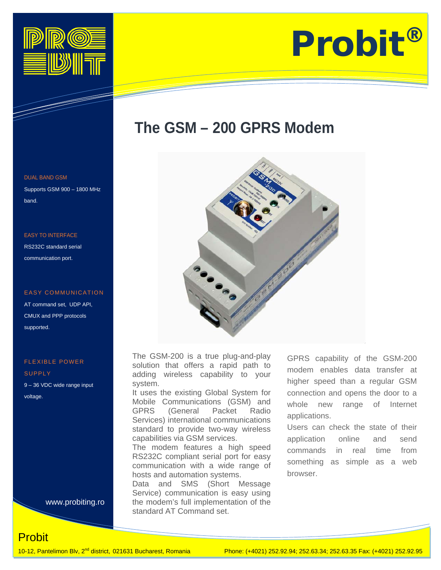

# Information Technology Solutions

# **The GSM – 200 GPRS Modem**



The GSM-200 is a true plug-and-play solution that offers a rapid path to adding wireless capability to your system.

It uses the existing Global System for Mobile Communications (GSM) and<br>GPRS (General Packet Radio GPRS (General Packet Radio Services) international communications standard to provide two-way wireless capabilities via GSM services.

The modem features a high speed RS232C compliant serial port for easy communication with a wide range of hosts and automation systems.

Data and SMS (Short Message Service) communication is easy using the modem's full implementation of the standard AT Command set.

GPRS capability of the GSM-200 modem enables data transfer at higher speed than a regular GSM connection and opens the door to a whole new range of Internet applications.

Users can check the state of their application online and send commands in real time from something as simple as a web browser.

### DUAL BAND GSM

Supports GSM 900 – 1800 MHz band.

#### EASY TO INTERFACE

RS232C standard serial communication port.

#### EASY COMMUNICATION

AT command set, UDP API, CMUX and PPP protocols supported.

## FLEXIBLE POWER

**SUPPLY** 9 – 36 VDC wide range input voltage.

www.probiting.ro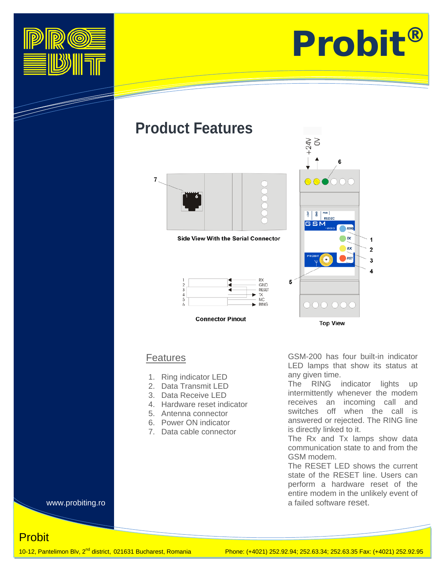

T



## **Product Features**



**Side View With the Serial Connector** 





 $+24V$ 6 es<br>S GSM 1  $\overline{2}$ 3 5 DOO OO **Top View** 

## Features

- 1. Ring indicator LED
- 2. Data Transmit LED
- 3. Data Receive LED
- 4. Hardware reset indicator
- 5. Antenna connector
- 6. Power ON indicator
- 7. Data cable connector

GSM-200 has four built-in indicator LED lamps that show its status at any given time.

The RING indicator lights up intermittently whenever the modem receives an incoming call and switches off when the call is answered or rejected. The RING line is directly linked to it.

The Rx and Tx lamps show data communication state to and from the GSM modem.

The RESET LED shows the current state of the RESET line. Users can perform a hardware reset of the entire modem in the unlikely event of a failed software reset.

www.probiting.ro

**Probit**